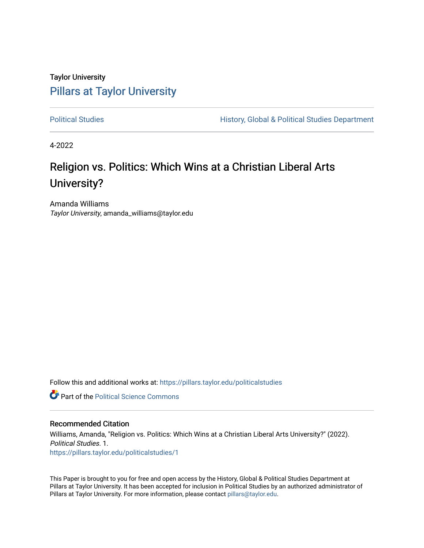# Taylor University [Pillars at Taylor University](https://pillars.taylor.edu/)

[Political Studies](https://pillars.taylor.edu/politicalstudies) **History, Global & Political Studies Department** 

4-2022

# Religion vs. Politics: Which Wins at a Christian Liberal Arts University?

Amanda Williams Taylor University, amanda\_williams@taylor.edu

Follow this and additional works at: [https://pillars.taylor.edu/politicalstudies](https://pillars.taylor.edu/politicalstudies?utm_source=pillars.taylor.edu%2Fpoliticalstudies%2F1&utm_medium=PDF&utm_campaign=PDFCoverPages) 

**C** Part of the Political Science Commons

## Recommended Citation

Williams, Amanda, "Religion vs. Politics: Which Wins at a Christian Liberal Arts University?" (2022). Political Studies. 1. [https://pillars.taylor.edu/politicalstudies/1](https://pillars.taylor.edu/politicalstudies/1?utm_source=pillars.taylor.edu%2Fpoliticalstudies%2F1&utm_medium=PDF&utm_campaign=PDFCoverPages) 

This Paper is brought to you for free and open access by the History, Global & Political Studies Department at Pillars at Taylor University. It has been accepted for inclusion in Political Studies by an authorized administrator of Pillars at Taylor University. For more information, please contact [pillars@taylor.edu.](mailto:pillars@taylor.edu)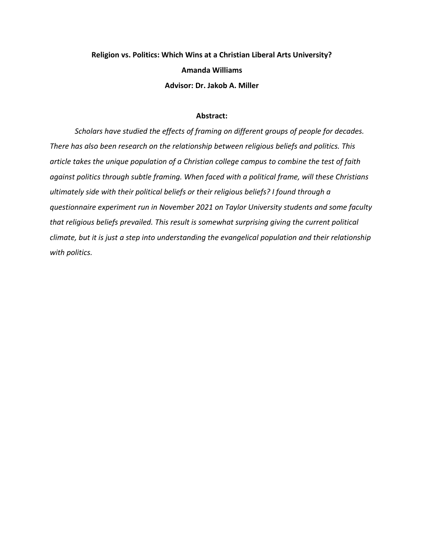# **Religion vs. Politics: Which Wins at a Christian Liberal Arts University? Amanda Williams Advisor: Dr. Jakob A. Miller**

## **Abstract:**

*Scholars have studied the effects of framing on different groups of people for decades. There has also been research on the relationship between religious beliefs and politics. This article takes the unique population of a Christian college campus to combine the test of faith against politics through subtle framing. When faced with a political frame, will these Christians ultimately side with their political beliefs or their religious beliefs? I found through a questionnaire experiment run in November 2021 on Taylor University students and some faculty that religious beliefs prevailed. This result is somewhat surprising giving the current political climate, but it is just a step into understanding the evangelical population and their relationship with politics.*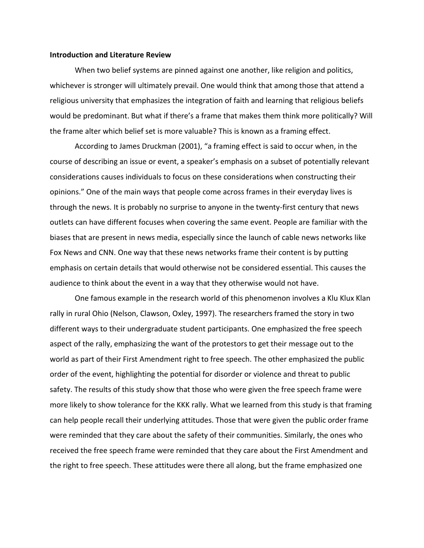#### **Introduction and Literature Review**

When two belief systems are pinned against one another, like religion and politics, whichever is stronger will ultimately prevail. One would think that among those that attend a religious university that emphasizes the integration of faith and learning that religious beliefs would be predominant. But what if there's a frame that makes them think more politically? Will the frame alter which belief set is more valuable? This is known as a framing effect.

According to James Druckman (2001), "a framing effect is said to occur when, in the course of describing an issue or event, a speaker's emphasis on a subset of potentially relevant considerations causes individuals to focus on these considerations when constructing their opinions." One of the main ways that people come across frames in their everyday lives is through the news. It is probably no surprise to anyone in the twenty-first century that news outlets can have different focuses when covering the same event. People are familiar with the biases that are present in news media, especially since the launch of cable news networks like Fox News and CNN. One way that these news networks frame their content is by putting emphasis on certain details that would otherwise not be considered essential. This causes the audience to think about the event in a way that they otherwise would not have.

One famous example in the research world of this phenomenon involves a Klu Klux Klan rally in rural Ohio (Nelson, Clawson, Oxley, 1997). The researchers framed the story in two different ways to their undergraduate student participants. One emphasized the free speech aspect of the rally, emphasizing the want of the protestors to get their message out to the world as part of their First Amendment right to free speech. The other emphasized the public order of the event, highlighting the potential for disorder or violence and threat to public safety. The results of this study show that those who were given the free speech frame were more likely to show tolerance for the KKK rally. What we learned from this study is that framing can help people recall their underlying attitudes. Those that were given the public order frame were reminded that they care about the safety of their communities. Similarly, the ones who received the free speech frame were reminded that they care about the First Amendment and the right to free speech. These attitudes were there all along, but the frame emphasized one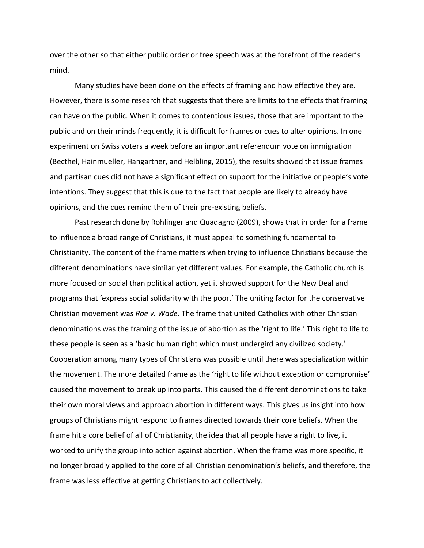over the other so that either public order or free speech was at the forefront of the reader's mind.

Many studies have been done on the effects of framing and how effective they are. However, there is some research that suggests that there are limits to the effects that framing can have on the public. When it comes to contentious issues, those that are important to the public and on their minds frequently, it is difficult for frames or cues to alter opinions. In one experiment on Swiss voters a week before an important referendum vote on immigration (Becthel, Hainmueller, Hangartner, and Helbling, 2015), the results showed that issue frames and partisan cues did not have a significant effect on support for the initiative or people's vote intentions. They suggest that this is due to the fact that people are likely to already have opinions, and the cues remind them of their pre-existing beliefs.

Past research done by Rohlinger and Quadagno (2009), shows that in order for a frame to influence a broad range of Christians, it must appeal to something fundamental to Christianity. The content of the frame matters when trying to influence Christians because the different denominations have similar yet different values. For example, the Catholic church is more focused on social than political action, yet it showed support for the New Deal and programs that 'express social solidarity with the poor.' The uniting factor for the conservative Christian movement was *Roe v. Wade.* The frame that united Catholics with other Christian denominations was the framing of the issue of abortion as the 'right to life.' This right to life to these people is seen as a 'basic human right which must undergird any civilized society.' Cooperation among many types of Christians was possible until there was specialization within the movement. The more detailed frame as the 'right to life without exception or compromise' caused the movement to break up into parts. This caused the different denominations to take their own moral views and approach abortion in different ways. This gives us insight into how groups of Christians might respond to frames directed towards their core beliefs. When the frame hit a core belief of all of Christianity, the idea that all people have a right to live, it worked to unify the group into action against abortion. When the frame was more specific, it no longer broadly applied to the core of all Christian denomination's beliefs, and therefore, the frame was less effective at getting Christians to act collectively.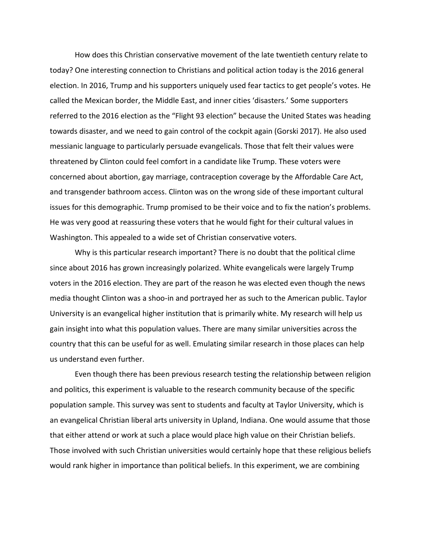How does this Christian conservative movement of the late twentieth century relate to today? One interesting connection to Christians and political action today is the 2016 general election. In 2016, Trump and his supporters uniquely used fear tactics to get people's votes. He called the Mexican border, the Middle East, and inner cities 'disasters.' Some supporters referred to the 2016 election as the "Flight 93 election" because the United States was heading towards disaster, and we need to gain control of the cockpit again (Gorski 2017). He also used messianic language to particularly persuade evangelicals. Those that felt their values were threatened by Clinton could feel comfort in a candidate like Trump. These voters were concerned about abortion, gay marriage, contraception coverage by the Affordable Care Act, and transgender bathroom access. Clinton was on the wrong side of these important cultural issues for this demographic. Trump promised to be their voice and to fix the nation's problems. He was very good at reassuring these voters that he would fight for their cultural values in Washington. This appealed to a wide set of Christian conservative voters.

Why is this particular research important? There is no doubt that the political clime since about 2016 has grown increasingly polarized. White evangelicals were largely Trump voters in the 2016 election. They are part of the reason he was elected even though the news media thought Clinton was a shoo-in and portrayed her as such to the American public. Taylor University is an evangelical higher institution that is primarily white. My research will help us gain insight into what this population values. There are many similar universities across the country that this can be useful for as well. Emulating similar research in those places can help us understand even further.

Even though there has been previous research testing the relationship between religion and politics, this experiment is valuable to the research community because of the specific population sample. This survey was sent to students and faculty at Taylor University, which is an evangelical Christian liberal arts university in Upland, Indiana. One would assume that those that either attend or work at such a place would place high value on their Christian beliefs. Those involved with such Christian universities would certainly hope that these religious beliefs would rank higher in importance than political beliefs. In this experiment, we are combining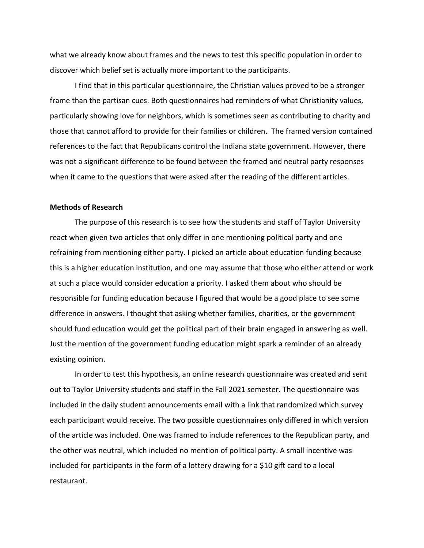what we already know about frames and the news to test this specific population in order to discover which belief set is actually more important to the participants.

I find that in this particular questionnaire, the Christian values proved to be a stronger frame than the partisan cues. Both questionnaires had reminders of what Christianity values, particularly showing love for neighbors, which is sometimes seen as contributing to charity and those that cannot afford to provide for their families or children. The framed version contained references to the fact that Republicans control the Indiana state government. However, there was not a significant difference to be found between the framed and neutral party responses when it came to the questions that were asked after the reading of the different articles.

## **Methods of Research**

The purpose of this research is to see how the students and staff of Taylor University react when given two articles that only differ in one mentioning political party and one refraining from mentioning either party. I picked an article about education funding because this is a higher education institution, and one may assume that those who either attend or work at such a place would consider education a priority. I asked them about who should be responsible for funding education because I figured that would be a good place to see some difference in answers. I thought that asking whether families, charities, or the government should fund education would get the political part of their brain engaged in answering as well. Just the mention of the government funding education might spark a reminder of an already existing opinion.

In order to test this hypothesis, an online research questionnaire was created and sent out to Taylor University students and staff in the Fall 2021 semester. The questionnaire was included in the daily student announcements email with a link that randomized which survey each participant would receive. The two possible questionnaires only differed in which version of the article was included. One was framed to include references to the Republican party, and the other was neutral, which included no mention of political party. A small incentive was included for participants in the form of a lottery drawing for a \$10 gift card to a local restaurant.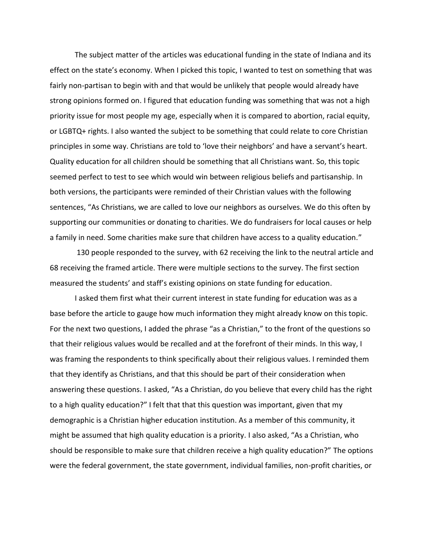The subject matter of the articles was educational funding in the state of Indiana and its effect on the state's economy. When I picked this topic, I wanted to test on something that was fairly non-partisan to begin with and that would be unlikely that people would already have strong opinions formed on. I figured that education funding was something that was not a high priority issue for most people my age, especially when it is compared to abortion, racial equity, or LGBTQ+ rights. I also wanted the subject to be something that could relate to core Christian principles in some way. Christians are told to 'love their neighbors' and have a servant's heart. Quality education for all children should be something that all Christians want. So, this topic seemed perfect to test to see which would win between religious beliefs and partisanship. In both versions, the participants were reminded of their Christian values with the following sentences, "As Christians, we are called to love our neighbors as ourselves. We do this often by supporting our communities or donating to charities. We do fundraisers for local causes or help a family in need. Some charities make sure that children have access to a quality education."

130 people responded to the survey, with 62 receiving the link to the neutral article and 68 receiving the framed article. There were multiple sections to the survey. The first section measured the students' and staff's existing opinions on state funding for education.

I asked them first what their current interest in state funding for education was as a base before the article to gauge how much information they might already know on this topic. For the next two questions, I added the phrase "as a Christian," to the front of the questions so that their religious values would be recalled and at the forefront of their minds. In this way, I was framing the respondents to think specifically about their religious values. I reminded them that they identify as Christians, and that this should be part of their consideration when answering these questions. I asked, "As a Christian, do you believe that every child has the right to a high quality education?" I felt that that this question was important, given that my demographic is a Christian higher education institution. As a member of this community, it might be assumed that high quality education is a priority. I also asked, "As a Christian, who should be responsible to make sure that children receive a high quality education?" The options were the federal government, the state government, individual families, non-profit charities, or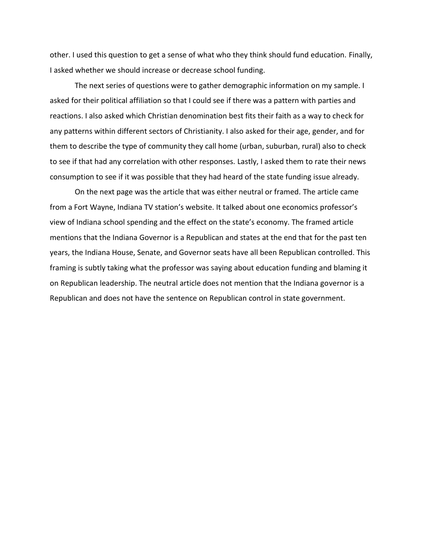other. I used this question to get a sense of what who they think should fund education. Finally, I asked whether we should increase or decrease school funding.

The next series of questions were to gather demographic information on my sample. I asked for their political affiliation so that I could see if there was a pattern with parties and reactions. I also asked which Christian denomination best fits their faith as a way to check for any patterns within different sectors of Christianity. I also asked for their age, gender, and for them to describe the type of community they call home (urban, suburban, rural) also to check to see if that had any correlation with other responses. Lastly, I asked them to rate their news consumption to see if it was possible that they had heard of the state funding issue already.

On the next page was the article that was either neutral or framed. The article came from a Fort Wayne, Indiana TV station's website. It talked about one economics professor's view of Indiana school spending and the effect on the state's economy. The framed article mentions that the Indiana Governor is a Republican and states at the end that for the past ten years, the Indiana House, Senate, and Governor seats have all been Republican controlled. This framing is subtly taking what the professor was saying about education funding and blaming it on Republican leadership. The neutral article does not mention that the Indiana governor is a Republican and does not have the sentence on Republican control in state government.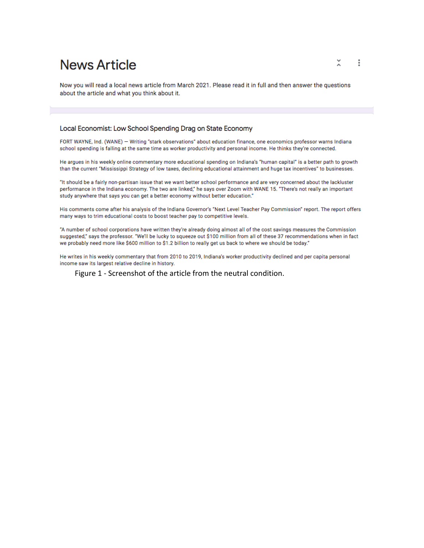# **News Article**

Now you will read a local news article from March 2021. Please read it in full and then answer the questions about the article and what you think about it.

#### Local Economist: Low School Spending Drag on State Economy

FORT WAYNE, Ind. (WANE) - Writing "stark observations" about education finance, one economics professor warns Indiana school spending is falling at the same time as worker productivity and personal income. He thinks they're connected.

He argues in his weekly online commentary more educational spending on Indiana's "human capital" is a better path to growth than the current "Mississippi Strategy of low taxes, declining educational attainment and huge tax incentives" to businesses.

"It should be a fairly non-partisan issue that we want better school performance and are very concerned about the lackluster performance in the Indiana economy. The two are linked," he says over Zoom with WANE 15. "There's not really an important study anywhere that says you can get a better economy without better education."

His comments come after his analysis of the Indiana Governor's "Next Level Teacher Pay Commission" report. The report offers many ways to trim educational costs to boost teacher pay to competitive levels.

"A number of school corporations have written they're already doing almost all of the cost savings measures the Commission suggested," says the professor. "We'll be lucky to squeeze out \$100 million from all of these 37 recommendations when in fact we probably need more like \$600 million to \$1.2 billion to really get us back to where we should be today."

He writes in his weekly commentary that from 2010 to 2019, Indiana's worker productivity declined and per capita personal income saw its largest relative decline in history.

Figure 1 - Screenshot of the article from the neutral condition.

 $\tilde{\lambda}$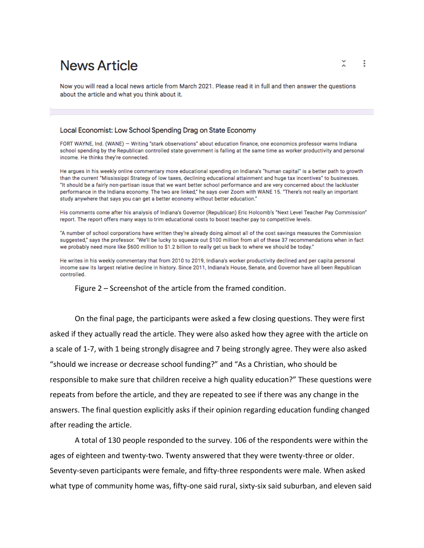# **News Article**

Now you will read a local news article from March 2021. Please read it in full and then answer the questions about the article and what you think about it.

#### Local Economist: Low School Spending Drag on State Economy

FORT WAYNE, Ind. (WANE) - Writing "stark observations" about education finance, one economics professor warns Indiana school spending by the Republican controlled state government is falling at the same time as worker productivity and personal income. He thinks they're connected.

He argues in his weekly online commentary more educational spending on Indiana's "human capital" is a better path to growth than the current "Mississippi Strategy of low taxes, declining educational attainment and huge tax incentives" to businesses. "It should be a fairly non-partisan issue that we want better school performance and are very concerned about the lackluster performance in the Indiana economy. The two are linked," he says over Zoom with WANE 15. "There's not really an important study anywhere that says you can get a better economy without better education."

His comments come after his analysis of Indiana's Governor (Republican) Eric Holcomb's "Next Level Teacher Pay Commission" report. The report offers many ways to trim educational costs to boost teacher pay to competitive levels.

"A number of school corporations have written they're already doing almost all of the cost savings measures the Commission suggested," says the professor. "We'll be lucky to squeeze out \$100 million from all of these 37 recommendations when in fact we probably need more like \$600 million to \$1.2 billion to really get us back to where we should be today."

He writes in his weekly commentary that from 2010 to 2019, Indiana's worker productivity declined and per capita personal income saw its largest relative decline in history. Since 2011, Indiana's House, Senate, and Governor have all been Republican controlled.

Figure 2 – Screenshot of the article from the framed condition.

On the final page, the participants were asked a few closing questions. They were first asked if they actually read the article. They were also asked how they agree with the article on a scale of 1-7, with 1 being strongly disagree and 7 being strongly agree. They were also asked "should we increase or decrease school funding?" and "As a Christian, who should be responsible to make sure that children receive a high quality education?" These questions were repeats from before the article, and they are repeated to see if there was any change in the answers. The final question explicitly asks if their opinion regarding education funding changed after reading the article.

A total of 130 people responded to the survey. 106 of the respondents were within the ages of eighteen and twenty-two. Twenty answered that they were twenty-three or older. Seventy-seven participants were female, and fifty-three respondents were male. When asked what type of community home was, fifty-one said rural, sixty-six said suburban, and eleven said

x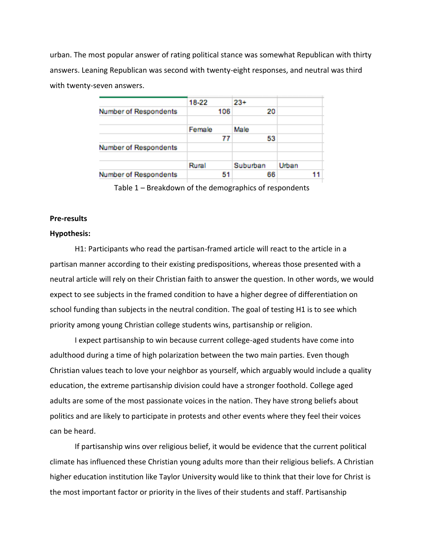urban. The most popular answer of rating political stance was somewhat Republican with thirty answers. Leaning Republican was second with twenty-eight responses, and neutral was third with twenty-seven answers.

|                              | 18-22  | $23+$    |       |    |
|------------------------------|--------|----------|-------|----|
| Number of Respondents        | 106    | 20       |       |    |
|                              |        |          |       |    |
|                              | Female | Male     |       |    |
|                              | 77     | 53       |       |    |
| <b>Number of Respondents</b> |        |          |       |    |
|                              | Rural  | Suburban | Urban |    |
|                              |        |          |       |    |
| <b>Number of Respondents</b> | 51     | 66       |       | 11 |
|                              |        |          |       |    |

Table 1 – Breakdown of the demographics of respondents

### **Pre-results**

#### **Hypothesis:**

H1: Participants who read the partisan-framed article will react to the article in a partisan manner according to their existing predispositions, whereas those presented with a neutral article will rely on their Christian faith to answer the question. In other words, we would expect to see subjects in the framed condition to have a higher degree of differentiation on school funding than subjects in the neutral condition. The goal of testing H1 is to see which priority among young Christian college students wins, partisanship or religion.

I expect partisanship to win because current college-aged students have come into adulthood during a time of high polarization between the two main parties. Even though Christian values teach to love your neighbor as yourself, which arguably would include a quality education, the extreme partisanship division could have a stronger foothold. College aged adults are some of the most passionate voices in the nation. They have strong beliefs about politics and are likely to participate in protests and other events where they feel their voices can be heard.

If partisanship wins over religious belief, it would be evidence that the current political climate has influenced these Christian young adults more than their religious beliefs. A Christian higher education institution like Taylor University would like to think that their love for Christ is the most important factor or priority in the lives of their students and staff. Partisanship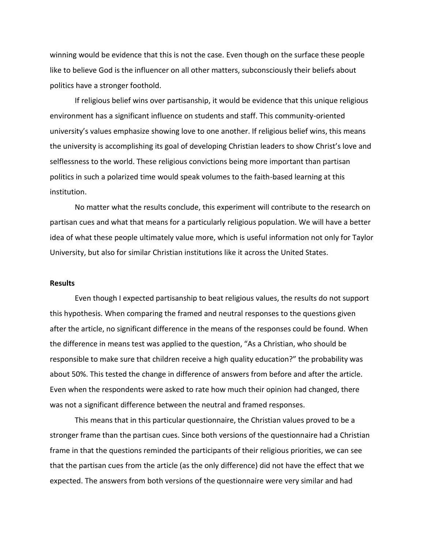winning would be evidence that this is not the case. Even though on the surface these people like to believe God is the influencer on all other matters, subconsciously their beliefs about politics have a stronger foothold.

If religious belief wins over partisanship, it would be evidence that this unique religious environment has a significant influence on students and staff. This community-oriented university's values emphasize showing love to one another. If religious belief wins, this means the university is accomplishing its goal of developing Christian leaders to show Christ's love and selflessness to the world. These religious convictions being more important than partisan politics in such a polarized time would speak volumes to the faith-based learning at this institution.

No matter what the results conclude, this experiment will contribute to the research on partisan cues and what that means for a particularly religious population. We will have a better idea of what these people ultimately value more, which is useful information not only for Taylor University, but also for similar Christian institutions like it across the United States.

### **Results**

Even though I expected partisanship to beat religious values, the results do not support this hypothesis. When comparing the framed and neutral responses to the questions given after the article, no significant difference in the means of the responses could be found. When the difference in means test was applied to the question, "As a Christian, who should be responsible to make sure that children receive a high quality education?" the probability was about 50%. This tested the change in difference of answers from before and after the article. Even when the respondents were asked to rate how much their opinion had changed, there was not a significant difference between the neutral and framed responses.

This means that in this particular questionnaire, the Christian values proved to be a stronger frame than the partisan cues. Since both versions of the questionnaire had a Christian frame in that the questions reminded the participants of their religious priorities, we can see that the partisan cues from the article (as the only difference) did not have the effect that we expected. The answers from both versions of the questionnaire were very similar and had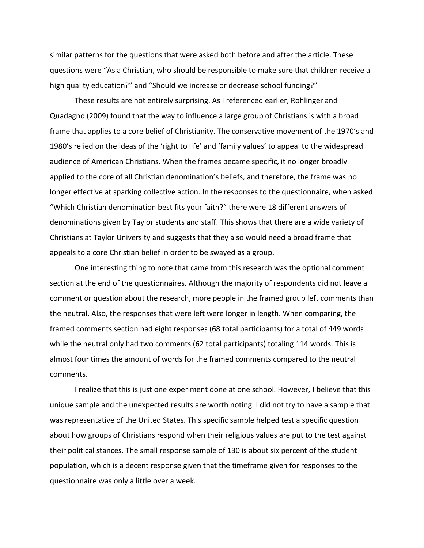similar patterns for the questions that were asked both before and after the article. These questions were "As a Christian, who should be responsible to make sure that children receive a high quality education?" and "Should we increase or decrease school funding?"

These results are not entirely surprising. As I referenced earlier, Rohlinger and Quadagno (2009) found that the way to influence a large group of Christians is with a broad frame that applies to a core belief of Christianity. The conservative movement of the 1970's and 1980's relied on the ideas of the 'right to life' and 'family values' to appeal to the widespread audience of American Christians. When the frames became specific, it no longer broadly applied to the core of all Christian denomination's beliefs, and therefore, the frame was no longer effective at sparking collective action. In the responses to the questionnaire, when asked "Which Christian denomination best fits your faith?" there were 18 different answers of denominations given by Taylor students and staff. This shows that there are a wide variety of Christians at Taylor University and suggests that they also would need a broad frame that appeals to a core Christian belief in order to be swayed as a group.

One interesting thing to note that came from this research was the optional comment section at the end of the questionnaires. Although the majority of respondents did not leave a comment or question about the research, more people in the framed group left comments than the neutral. Also, the responses that were left were longer in length. When comparing, the framed comments section had eight responses (68 total participants) for a total of 449 words while the neutral only had two comments (62 total participants) totaling 114 words. This is almost four times the amount of words for the framed comments compared to the neutral comments.

I realize that this is just one experiment done at one school. However, I believe that this unique sample and the unexpected results are worth noting. I did not try to have a sample that was representative of the United States. This specific sample helped test a specific question about how groups of Christians respond when their religious values are put to the test against their political stances. The small response sample of 130 is about six percent of the student population, which is a decent response given that the timeframe given for responses to the questionnaire was only a little over a week.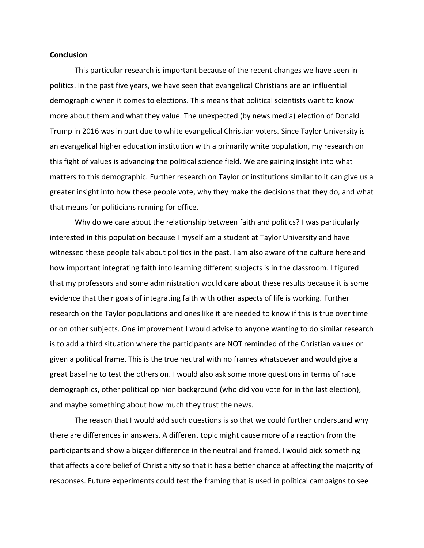#### **Conclusion**

This particular research is important because of the recent changes we have seen in politics. In the past five years, we have seen that evangelical Christians are an influential demographic when it comes to elections. This means that political scientists want to know more about them and what they value. The unexpected (by news media) election of Donald Trump in 2016 was in part due to white evangelical Christian voters. Since Taylor University is an evangelical higher education institution with a primarily white population, my research on this fight of values is advancing the political science field. We are gaining insight into what matters to this demographic. Further research on Taylor or institutions similar to it can give us a greater insight into how these people vote, why they make the decisions that they do, and what that means for politicians running for office.

Why do we care about the relationship between faith and politics? I was particularly interested in this population because I myself am a student at Taylor University and have witnessed these people talk about politics in the past. I am also aware of the culture here and how important integrating faith into learning different subjects is in the classroom. I figured that my professors and some administration would care about these results because it is some evidence that their goals of integrating faith with other aspects of life is working. Further research on the Taylor populations and ones like it are needed to know if this is true over time or on other subjects. One improvement I would advise to anyone wanting to do similar research is to add a third situation where the participants are NOT reminded of the Christian values or given a political frame. This is the true neutral with no frames whatsoever and would give a great baseline to test the others on. I would also ask some more questions in terms of race demographics, other political opinion background (who did you vote for in the last election), and maybe something about how much they trust the news.

The reason that I would add such questions is so that we could further understand why there are differences in answers. A different topic might cause more of a reaction from the participants and show a bigger difference in the neutral and framed. I would pick something that affects a core belief of Christianity so that it has a better chance at affecting the majority of responses. Future experiments could test the framing that is used in political campaigns to see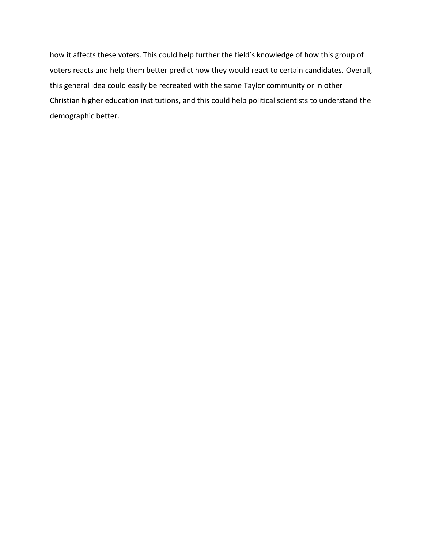how it affects these voters. This could help further the field's knowledge of how this group of voters reacts and help them better predict how they would react to certain candidates. Overall, this general idea could easily be recreated with the same Taylor community or in other Christian higher education institutions, and this could help political scientists to understand the demographic better.